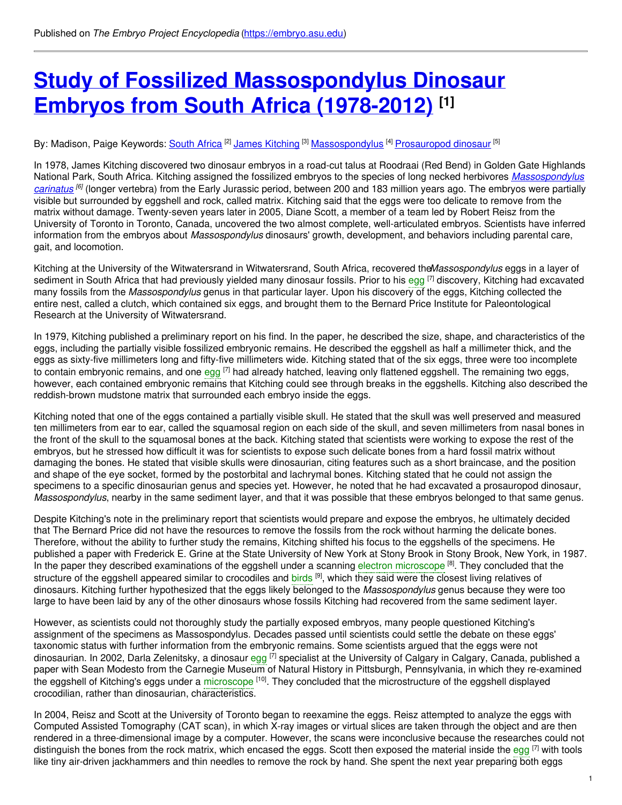# **Study of Fossilized [Massospondylus](https://embryo.asu.edu/pages/study-fossilized-massospondylus-dinosaur-embryos-south-africa-1978-2012) Dinosaur Embryos from South Africa (1978-2012) [1]**

By: Madison, Paige Keywords: <u>[South](https://embryo.asu.edu/keywords/south-africa) Africa</u> <sup>[2]</sup> J<u>ames [Kitching](https://embryo.asu.edu/keywords/james-kitching)</u> <sup>[3]</sup> <u>[Massospondylus](https://embryo.asu.edu/keywords/massospondylus)</u> <sup>[4]</sup> [Prosauropod](https://embryo.asu.edu/keywords/prosauropod-dinosaur) dinosaur <sup>[5]</sup>

In 1978, James Kitching discovered two dinosaur embryos in a road-cut talus at Roodraai (Red Bend) in Golden Gate Highlands National Park, South Africa. Kitching assigned the fossilized embryos to the species of long necked herbivores *[Massospondylus](http://eol.org/pages/4532835/overview) carinatus [6]* (longer vertebra) from the Early Jurassic period, between 200 and 183 million years ago. The embryos were partially visible but surrounded by eggshell and rock, called matrix. Kitching said that the eggs were too delicate to remove from the matrix without damage. Twenty-seven years later in 2005, Diane Scott, a member of a team led by Robert Reisz from the University of Toronto in Toronto, Canada, uncovered the two almost complete, well-articulated embryos. Scientists have inferred information from the embryos about *Massospondylus* dinosaurs' growth, development, and behaviors including parental care, gait, and locomotion.

Kitching at the University of the Witwatersrand in Witwatersrand, South Africa, recovered the*Massospondylus* eggs in a layer of sediment in South Africa that had previously yielded many dinosaur fossils. Prior to his [egg](https://embryo.asu.edu/search?text=egg) <sup>[7]</sup> discovery, Kitching had excavated many fossils from the *Massospondylus* genus in that particular layer. Upon his discovery of the eggs, Kitching collected the entire nest, called a clutch, which contained six eggs, and brought them to the Bernard Price Institute for Paleontological Research at the University of Witwatersrand.

In 1979, Kitching published a preliminary report on his find. In the paper, he described the size, shape, and characteristics of the eggs, including the partially visible fossilized embryonic remains. He described the eggshell as half a millimeter thick, and the eggs as sixty-five millimeters long and fifty-five millimeters wide. Kitching stated that of the six eggs, three were too incomplete to contain embryonic remains, and one [egg](https://embryo.asu.edu/search?text=egg) <sup>[7]</sup> had already hatched, leaving only flattened eggshell. The remaining two eggs, however, each contained embryonic remains that Kitching could see through breaks in the eggshells. Kitching also described the reddish-brown mudstone matrix that surrounded each embryo inside the eggs.

Kitching noted that one of the eggs contained a partially visible skull. He stated that the skull was well preserved and measured ten millimeters from ear to ear, called the squamosal region on each side of the skull, and seven millimeters from nasal bones in the front of the skull to the squamosal bones at the back. Kitching stated that scientists were working to expose the rest of the embryos, but he stressed how difficult it was for scientists to expose such delicate bones from a hard fossil matrix without damaging the bones. He stated that visible skulls were dinosaurian, citing features such as a short braincase, and the position and shape of the eye socket, formed by the postorbital and lachrymal bones. Kitching stated that he could not assign the specimens to a specific dinosaurian genus and species yet. However, he noted that he had excavated a prosauropod dinosaur, *Massospondylus*, nearby in the same sediment layer, and that it was possible that these embryos belonged to that same genus.

Despite Kitching's note in the preliminary report that scientists would prepare and expose the embryos, he ultimately decided that The Bernard Price did not have the resources to remove the fossils from the rock without harming the delicate bones. Therefore, without the ability to further study the remains, Kitching shifted his focus to the eggshells of the specimens. He published a paper with Frederick E. Grine at the State University of New York at Stony Brook in Stony Brook, New York, in 1987. In the paper they described examinations of the eggshell under a scanning electron [microscope](https://embryo.asu.edu/search?text=electron%20microscope) <sup>[8]</sup>. They concluded that the structure of the eggshell appeared similar to crocodiles and [birds](https://embryo.asu.edu/search?text=birds) <sup>[9]</sup>, which they said were the closest living relatives of dinosaurs. Kitching further hypothesized that the eggs likely belonged to the *Massospondylus* genus because they were too large to have been laid by any of the other dinosaurs whose fossils Kitching had recovered from the same sediment layer.

However, as scientists could not thoroughly study the partially exposed embryos, many people questioned Kitching's assignment of the specimens as Massospondylus. Decades passed until scientists could settle the debate on these eggs' taxonomic status with further information from the embryonic remains. Some scientists argued that the eggs were not dinosaurian. In 2002, Darla Zelenitsky, a dinosaur [egg](https://embryo.asu.edu/search?text=egg) <sup>[7]</sup> specialist at the University of Calgary in Calgary, Canada, published a paper with Sean Modesto from the Carnegie Museum of Natural History in Pittsburgh, Pennsylvania, in which they re-examined the eggshell of Kitching's eggs under a [microscope](https://embryo.asu.edu/search?text=microscope) <sup>[10]</sup>. They concluded that the microstructure of the eggshell displayed crocodilian, rather than dinosaurian, characteristics.

In 2004, Reisz and Scott at the University of Toronto began to reexamine the eggs. Reisz attempted to analyze the eggs with Computed Assisted Tomography (CAT scan), in which X-ray images or virtual slices are taken through the object and are then rendered in a three-dimensional image by a computer. However, the scans were inconclusive because the researches could not distinguish the bones from the rock matrix, which encased the [egg](https://embryo.asu.edu/search?text=egg)s. Scott then exposed the material inside the egg <sup>[7]</sup> with tools like tiny air-driven jackhammers and thin needles to remove the rock by hand. She spent the next year preparing both eggs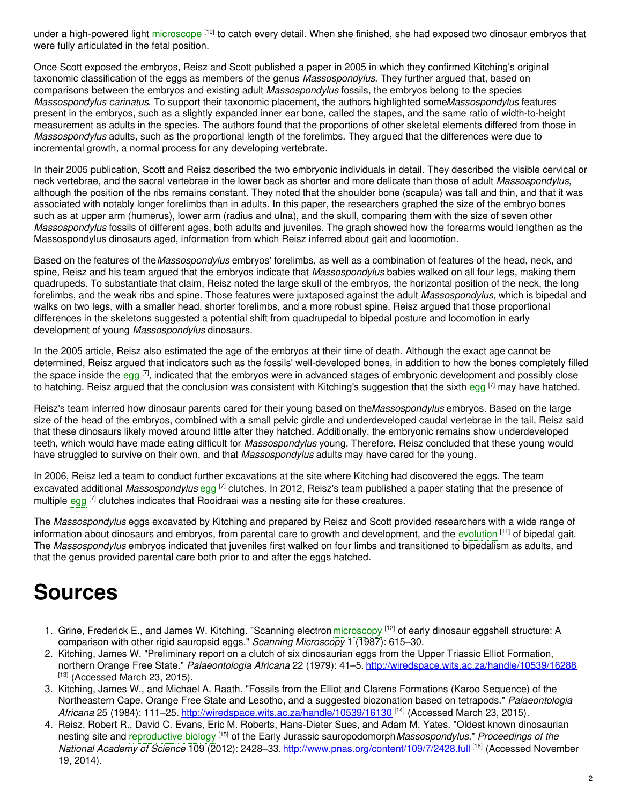under a high-powered light [microscope](https://embryo.asu.edu/search?text=microscope) <sup>[10]</sup> to catch every detail. When she finished, she had exposed two dinosaur embryos that were fully articulated in the fetal position.

Once Scott exposed the embryos, Reisz and Scott published a paper in 2005 in which they confirmed Kitching's original taxonomic classification of the eggs as members of the genus *Massospondylus*. They further argued that, based on comparisons between the embryos and existing adult *Massospondylus* fossils, the embryos belong to the species *Massospondylus carinatus*. To support their taxonomic placement, the authors highlighted some*Massospondylus* features present in the embryos, such as a slightly expanded inner ear bone, called the stapes, and the same ratio of width-to-height measurement as adults in the species. The authors found that the proportions of other skeletal elements differed from those in *Massospondylus* adults, such as the proportional length of the forelimbs. They argued that the differences were due to incremental growth, a normal process for any developing vertebrate.

In their 2005 publication, Scott and Reisz described the two embryonic individuals in detail. They described the visible cervical or neck vertebrae, and the sacral vertebrae in the lower back as shorter and more delicate than those of adult *Massospondylus*, although the position of the ribs remains constant. They noted that the shoulder bone (scapula) was tall and thin, and that it was associated with notably longer forelimbs than in adults. In this paper, the researchers graphed the size of the embryo bones such as at upper arm (humerus), lower arm (radius and ulna), and the skull, comparing them with the size of seven other *Massospondylus* fossils of different ages, both adults and juveniles. The graph showed how the forearms would lengthen as the Massospondylus dinosaurs aged, information from which Reisz inferred about gait and locomotion.

Based on the features of the*Massospondylus* embryos' forelimbs, as well as a combination of features of the head, neck, and spine, Reisz and his team argued that the embryos indicate that *Massospondylus* babies walked on all four legs, making them quadrupeds. To substantiate that claim, Reisz noted the large skull of the embryos, the horizontal position of the neck, the long forelimbs, and the weak ribs and spine. Those features were juxtaposed against the adult *Massospondylus*, which is bipedal and walks on two legs, with a smaller head, shorter forelimbs, and a more robust spine. Reisz argued that those proportional differences in the skeletons suggested a potential shift from quadrupedal to bipedal posture and locomotion in early development of young *Massospondylus* dinosaurs.

In the 2005 article, Reisz also estimated the age of the embryos at their time of death. Although the exact age cannot be determined, Reisz argued that indicators such as the fossils' well-developed bones, in addition to how the bones completely filled the space inside the [egg](https://embryo.asu.edu/search?text=egg) <sup>[7]</sup>, indicated that the embryos were in advanced stages of embryonic development and possibly close to hatching. Reisz argued that the conclusion was consistent with Kitching's suggestion that the sixth [egg](https://embryo.asu.edu/search?text=egg) <sup>[7]</sup> may have hatched.

Reisz's team inferred how dinosaur parents cared for their young based on the*Massospondylus* embryos. Based on the large size of the head of the embryos, combined with a small pelvic girdle and underdeveloped caudal vertebrae in the tail, Reisz said that these dinosaurs likely moved around little after they hatched. Additionally, the embryonic remains show underdeveloped teeth, which would have made eating difficult for *Massospondylus* young. Therefore, Reisz concluded that these young would have struggled to survive on their own, and that *Massospondylus* adults may have cared for the young.

In 2006, Reisz led a team to conduct further excavations at the site where Kitching had discovered the eggs. The team excavated additional *Massospondylus* [egg](https://embryo.asu.edu/search?text=egg) <sup>[7]</sup> clutches. In 2012, Reisz's team published a paper stating that the presence of multiple [egg](https://embryo.asu.edu/search?text=egg) <sup>[7]</sup> clutches indicates that Rooidraai was a nesting site for these creatures.

The *Massospondylus* eggs excavated by Kitching and prepared by Reisz and Scott provided researchers with a wide range of information about dinosaurs and embryos, from parental care to growth and development, and the [evolution](https://embryo.asu.edu/search?text=evolution) [11] of bipedal gait. The *Massospondylus* embryos indicated that juveniles first walked on four limbs and transitioned to bipedalism as adults, and that the genus provided parental care both prior to and after the eggs hatched.

## **Sources**

- 1. Grine, Frederick E., and James W. Kitching. "Scanning electron [microscopy](https://embryo.asu.edu/search?text=microscopy) [12] of early dinosaur eggshell structure: A comparison with other rigid sauropsid eggs." *Scanning Microscopy* 1 (1987): 615–30.
- 2. Kitching, James W. "Preliminary report on a clutch of six dinosaurian eggs from the Upper Triassic Elliot Formation, northern Orange Free State." *Palaeontologia Africana* 22 (1979): 41–5. <http://wiredspace.wits.ac.za/handle/10539/16288>  $[13]$  (Accessed March 23, 2015).
- 3. Kitching, James W., and Michael A. Raath. "Fossils from the Elliot and Clarens Formations (Karoo Sequence) of the Northeastern Cape, Orange Free State and Lesotho, and a suggested biozonation based on tetrapods." *Palaeontologia* Africana 25 (1984): 111–25. <http://wiredspace.wits.ac.za/handle/10539/16130> [<sup>14]</sup> (Accessed March 23, 2015).
- 4. Reisz, Robert R., David C. Evans, Eric M. Roberts, Hans-Dieter Sues, and Adam M. Yates. "Oldest known dinosaurian nesting site and [reproductive](https://embryo.asu.edu/search?text=reproductive%20biology) biology [15] of the Early Jurassic sauropodomorph*Massospondylus*." *Proceedings of the National Academy of Science* 109 (2012): 2428–33. <http://www.pnas.org/content/109/7/2428.full> [16] (Accessed November 19, 2014).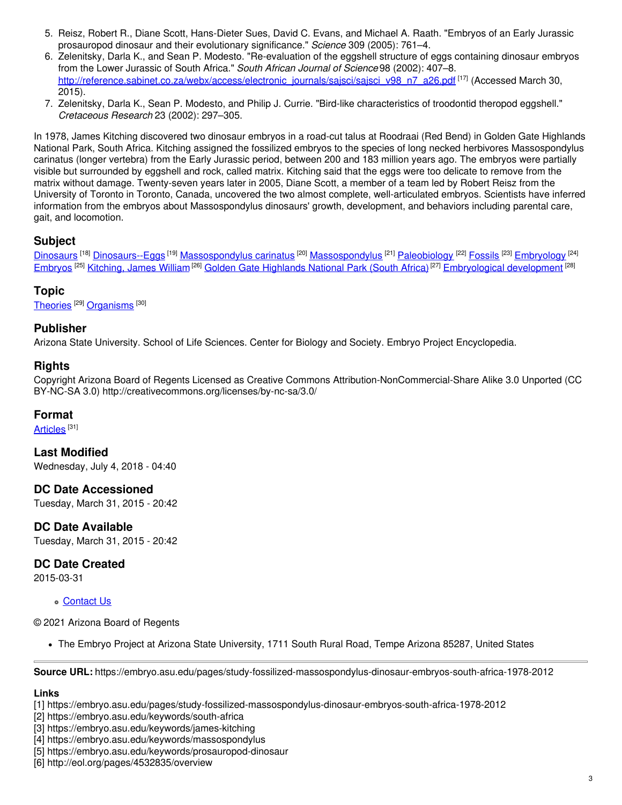- 5. Reisz, Robert R., Diane Scott, Hans-Dieter Sues, David C. Evans, and Michael A. Raath. "Embryos of an Early Jurassic prosauropod dinosaur and their evolutionary significance." *Science* 309 (2005): 761–4.
- 6. Zelenitsky, Darla K., and Sean P. Modesto. "Re-evaluation of the eggshell structure of eggs containing dinosaur embryos from the Lower Jurassic of South Africa." *South African Journal of Science* 98 (2002): 407–8. [http://reference.sabinet.co.za/webx/access/electronic\\_journals/sajsci/sajsci\\_v98\\_n7\\_a26.pdf](http://reference.sabinet.co.za/webx/access/electronic_journals/sajsci/sajsci_v98_n7_a26.pdf) <sup>[17]</sup> (Accessed March 30, 2015).
- 7. Zelenitsky, Darla K., Sean P. Modesto, and Philip J. Currie. "Bird-like characteristics of troodontid theropod eggshell." *Cretaceous Research* 23 (2002): 297–305.

In 1978, James Kitching discovered two dinosaur embryos in a road-cut talus at Roodraai (Red Bend) in Golden Gate Highlands National Park, South Africa. Kitching assigned the fossilized embryos to the species of long necked herbivores Massospondylus carinatus (longer vertebra) from the Early Jurassic period, between 200 and 183 million years ago. The embryos were partially visible but surrounded by eggshell and rock, called matrix. Kitching said that the eggs were too delicate to remove from the matrix without damage. Twenty-seven years later in 2005, Diane Scott, a member of a team led by Robert Reisz from the University of Toronto in Toronto, Canada, uncovered the two almost complete, well-articulated embryos. Scientists have inferred information from the embryos about Massospondylus dinosaurs' growth, development, and behaviors including parental care, gait, and locomotion.

## **Subject**

[Dinosaurs](https://embryo.asu.edu/library-congress-subject-headings/dinosaurs) <sup>[18]</sup> [Dinosaurs--Eggs](https://embryo.asu.edu/library-congress-subject-headings/dinosaurs-eggs) <sup>[19]</sup> [Massospondylus](https://embryo.asu.edu/library-congress-subject-headings/massospondylus) carinatus <sup>[20]</sup> Massospondylus <sup>[21]</sup> [Paleobiology](https://embryo.asu.edu/library-congress-subject-headings/paleobiology) <sup>[22]</sup> [Fossils](https://embryo.asu.edu/library-congress-subject-headings/fossils) <sup>[23]</sup> [Embryology](https://embryo.asu.edu/library-congress-subject-headings/embryology) <sup>[24]</sup> [Embryos](https://embryo.asu.edu/library-congress-subject-headings/embryos) <sup>[25]</sup> [Kitching,](https://embryo.asu.edu/library-congress-subject-headings/kitching-james-william) James William<sup>[26]</sup> Golden Gate [Highlands](https://embryo.asu.edu/library-congress-subject-headings/golden-gate-highlands-national-park-south-africa) National Park (South Africa) <sup>[27]</sup> [Embryological](https://embryo.asu.edu/library-congress-subject-headings/embryological-development) development <sup>[28]</sup>

## **Topic**

[Theories](https://embryo.asu.edu/topics/theories) <sup>[29]</sup> [Organisms](https://embryo.asu.edu/topics/organisms) <sup>[30]</sup>

### **Publisher**

Arizona State University. School of Life Sciences. Center for Biology and Society. Embryo Project Encyclopedia.

#### **Rights**

Copyright Arizona Board of Regents Licensed as Creative Commons Attribution-NonCommercial-Share Alike 3.0 Unported (CC BY-NC-SA 3.0) http://creativecommons.org/licenses/by-nc-sa/3.0/

#### **Format**

<u>[Articles](https://embryo.asu.edu/formats/articles)</u> [31]

**Last Modified** Wednesday, July 4, 2018 - 04:40

**DC Date Accessioned** Tuesday, March 31, 2015 - 20:42

**DC Date Available** Tuesday, March 31, 2015 - 20:42

## **DC Date Created**

2015-03-31

#### [Contact](https://embryo.asu.edu/contact) Us

© 2021 Arizona Board of Regents

The Embryo Project at Arizona State University, 1711 South Rural Road, Tempe Arizona 85287, United States

**Source URL:** https://embryo.asu.edu/pages/study-fossilized-massospondylus-dinosaur-embryos-south-africa-1978-2012

## **Links**

[1] https://embryo.asu.edu/pages/study-fossilized-massospondylus-dinosaur-embryos-south-africa-1978-2012

[2] https://embryo.asu.edu/keywords/south-africa

[3] https://embryo.asu.edu/keywords/james-kitching

[4] https://embryo.asu.edu/keywords/massospondylus

[5] https://embryo.asu.edu/keywords/prosauropod-dinosaur

[6] http://eol.org/pages/4532835/overview